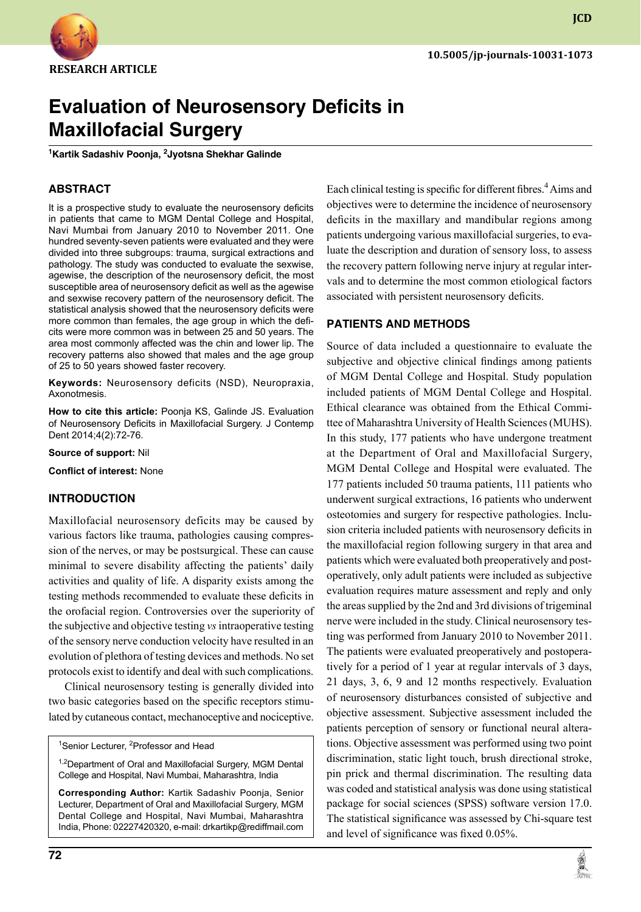

# **Evaluation of Neurosensory Deficits in Maxillofacial Surgery**

**1 Kartik Sadashiv Poonja, <sup>2</sup> Jyotsna Shekhar Galinde**

# **ABSTRACT**

It is a prospective study to evaluate the neurosensory deficits in patients that came to MGM Dental College and Hospital, Navi Mumbai from January 2010 to November 2011. One hundred seventy-seven patients were evaluated and they were divided into three subgroups: trauma, surgical extractions and pathology. The study was conducted to evaluate the sexwise, agewise, the description of the neurosensory deficit, the most susceptible area of neurosensory deficit as well as the agewise and sexwise recovery pattern of the neurosensory deficit. The statistical analysis showed that the neurosensory deficits were more common than females, the age group in which the deficits were more common was in between 25 and 50 years. The area most commonly affected was the chin and lower lip. The recovery patterns also showed that males and the age group of 25 to 50 years showed faster recovery.

**Keywords:** Neurosensory deficits (NSD), Neuropraxia, Axonotmesis.

**How to cite this article:** Poonja KS, Galinde JS. Evaluation of Neurosensory Deficits in Maxillofacial Surgery. J Contemp Dent 2014;4(2):72-76.

**Source of support:** Nil

**Conflict of interest:** None

## **Introduction**

Maxillofacial neurosensory deficits may be caused by various factors like trauma, pathologies causing compression of the nerves, or may be postsurgical. These can cause minimal to severe disability affecting the patients' daily activities and quality of life. A disparity exists among the testing methods recommended to evaluate these deficits in the orofacial region. Controversies over the superiority of the subjective and objective testing *vs* intraoperative testing of the sensory nerve conduction velocity have resulted in an evolution of plethora of testing devices and methods. No set protocols exist to identify and deal with such complications.

Clinical neurosensory testing is generally divided into two basic categories based on the specific receptors stimulated by cutaneous contact, mechanoceptive and nociceptive.

<sup>1</sup>Senior Lecturer, <sup>2</sup>Professor and Head

<sup>1,2</sup>Department of Oral and Maxillofacial Surgery, MGM Dental College and Hospital, Navi Mumbai, Maharashtra, India

**Corresponding Author:** Kartik Sadashiv Poonja, Senior Lecturer, Department of Oral and Maxillofacial Surgery, MGM Dental College and Hospital, Navi Mumbai, Maharashtra India, Phone: 02227420320, e-mail: drkartikp@rediffmail.com Each clinical testing is specific for different fibres.<sup>4</sup> Aims and objectives were to determine the incidence of neurosensory deficits in the maxillary and mandibular regions among patients undergoing various maxillofacial surgeries, to evaluate the description and duration of sensory loss, to assess the recovery pattern following nerve injury at regular intervals and to determine the most common etiological factors associated with persistent neurosensory deficits.

## **PATIENTS and METHODS**

Source of data included a questionnaire to evaluate the subjective and objective clinical findings among patients of MGM Dental College and Hospital. Study population included patients of MGM Dental College and Hospital. Ethical clearance was obtained from the Ethical Committee of Maharashtra University of Health Sciences (MUHS). In this study, 177 patients who have undergone treatment at the Department of Oral and Maxillofacial Surgery, MGM Dental College and Hospital were evaluated. The 177 patients included 50 trauma patients, 111 patients who underwent surgical extractions, 16 patients who underwent osteotomies and surgery for respective pathologies. Inclusion criteria included patients with neurosensory deficits in the maxillofacial region following surgery in that area and patients which were evaluated both preoperatively and postoperatively, only adult patients were included as subjective evaluation requires mature assessment and reply and only the areas supplied by the 2nd and 3rd divisions of trigeminal nerve were included in the study. Clinical neurosensory testing was performed from January 2010 to November 2011. The patients were evaluated preoperatively and postoperatively for a period of 1 year at regular intervals of 3 days, 21 days, 3, 6, 9 and 12 months respectively. Evaluation of neurosensory disturbances consisted of subjective and objective assessment. Subjective assessment included the patients perception of sensory or functional neural alterations. Objective assessment was performed using two point discrimination, static light touch, brush directional stroke, pin prick and thermal discrimination. The resulting data was coded and statistical analysis was done using statistical package for social sciences (SPSS) software version 17.0. The statistical significance was assessed by chi-square test and level of significance was fixed 0.05%.

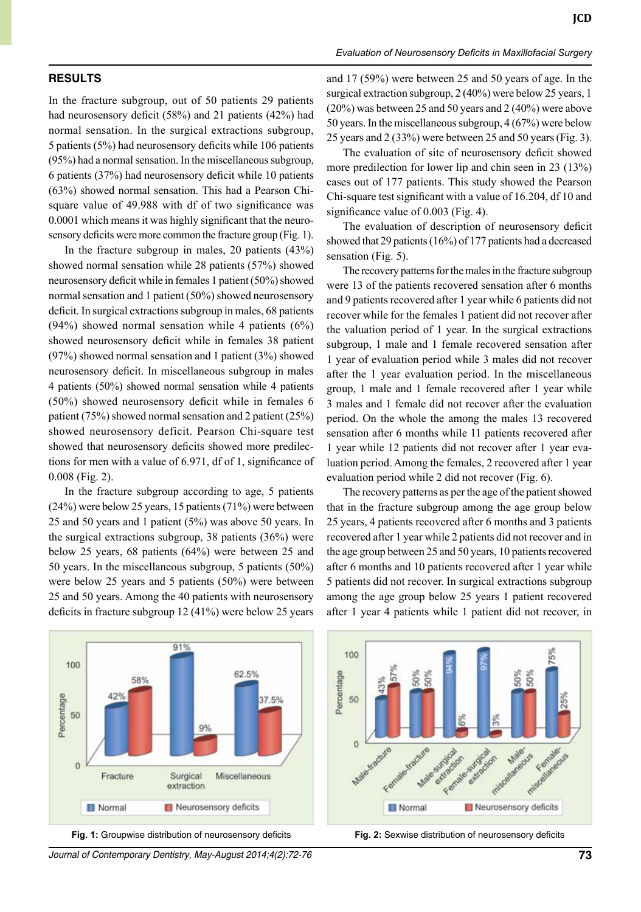#### **RESULTS**

In the fracture subgroup, out of 50 patients 29 patients had neurosensory deficit (58%) and 21 patients (42%) had normal sensation. In the surgical extractions subgroup, 5 patients (5%) had neurosensory deficits while 106 patients (95%) had a normal sensation. In the miscellaneous subgroup, 6 patients (37%) had neurosensory deficit while 10 patients (63%) showed normal sensation. This had a Pearson chisquare value of 49.988 with df of two significance was 0.0001 which means it was highly significant that the neurosensory deficits were more common the fracture group (Fig. 1).

In the fracture subgroup in males, 20 patients (43%) showed normal sensation while 28 patients (57%) showed neurosensory deficit while in females 1 patient (50%) showed normal sensation and 1 patient (50%) showed neurosensory deficit. In surgical extractions subgroup in males, 68 patients  $(94%)$  showed normal sensation while 4 patients  $(6%)$ showed neurosensory deficit while in females 38 patient (97%) showed normal sensation and 1 patient (3%) showed neurosensory deficit. In miscellaneous subgroup in males 4 patients (50%) showed normal sensation while 4 patients (50%) showed neurosensory deficit while in females 6 patient (75%) showed normal sensation and 2 patient (25%) showed neurosensory deficit. Pearson Chi-square test showed that neurosensory deficits showed more predilections for men with a value of 6.971, df of 1, significance of 0.008 (Fig. 2).

In the fracture subgroup according to age, 5 patients (24%) were below 25 years, 15 patients (71%) were between 25 and 50 years and 1 patient (5%) was above 50 years. In the surgical extractions subgroup, 38 patients (36%) were below 25 years, 68 patients (64%) were between 25 and 50 years. In the miscellaneous subgroup, 5 patients (50%) were below 25 years and 5 patients (50%) were between 25 and 50 years. Among the 40 patients with neurosensory deficits in fracture subgroup 12 (41%) were below 25 years

and 17 (59%) were between 25 and 50 years of age. In the surgical extraction subgroup, 2 (40%) were below 25 years, 1 (20%) was between 25 and 50 years and 2 (40%) were above 50 years. In the miscellaneous subgroup, 4 (67%) were below 25 years and 2 (33%) were between 25 and 50 years (Fig. 3).

The evaluation of site of neurosensory deficit showed more predilection for lower lip and chin seen in 23 (13%) cases out of 177 patients. This study showed the Pearson chi-square test significant with a value of 16.204, df 10 and significance value of 0.003 (Fig. 4).

The evaluation of description of neurosensory deficit showed that 29 patients (16%) of 177 patients had a decreased sensation (Fig. 5).

The recovery patterns for the males in the fracture subgroup were 13 of the patients recovered sensation after 6 months and 9 patients recovered after 1 year while 6 patients did not recover while for the females 1 patient did not recover after the valuation period of 1 year. In the surgical extractions subgroup, 1 male and 1 female recovered sensation after 1 year of evaluation period while 3 males did not recover after the 1 year evaluation period. In the miscellaneous group, 1 male and 1 female recovered after 1 year while 3 males and 1 female did not recover after the evaluation period. On the whole the among the males 13 recovered sensation after 6 months while 11 patients recovered after 1 year while 12 patients did not recover after 1 year evaluation period. Among the females, 2 recovered after 1 year evaluation period while 2 did not recover (Fig. 6).

The recovery patterns as per the age of the patient showed that in the fracture subgroup among the age group below 25 years, 4 patients recovered after 6 months and 3 patients recovered after 1 year while 2 patients did not recover and in the age group between 25 and 50 years, 10 patients recovered after 6 months and 10 patients recovered after 1 year while 5 patients did not recover. In surgical extractions subgroup among the age group below 25 years 1 patient recovered after 1 year 4 patients while 1 patient did not recover, in



*Journal of Contemporary Dentistry, May-August 2014;4(2):72-76* **73**



**Fig. 1:** Groupwise distribution of neurosensory deficits **Fig. 2:** Sexwise distribution of neurosensory deficits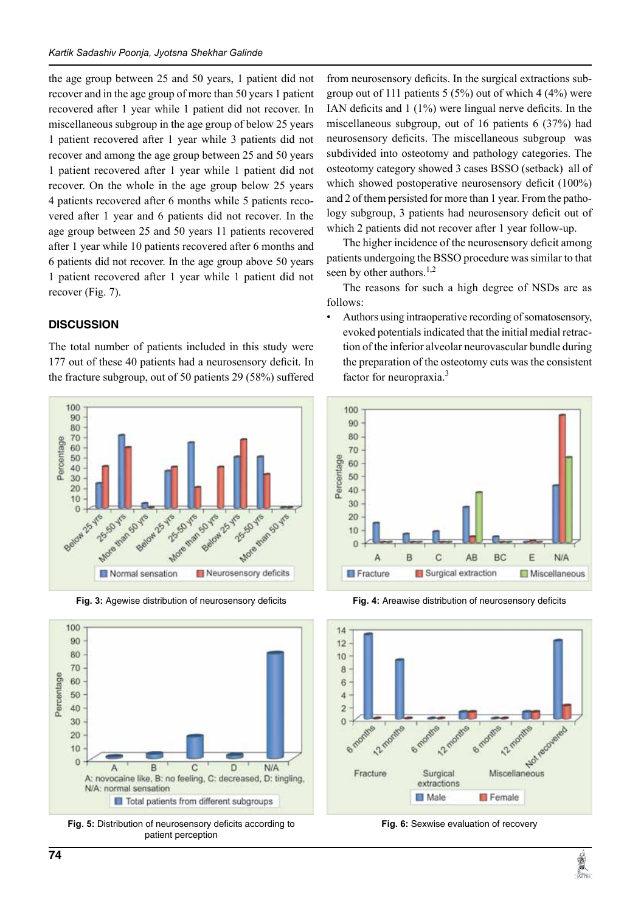the age group between 25 and 50 years, 1 patient did not recover and in the age group of more than 50 years 1 patient recovered after 1 year while 1 patient did not recover. In miscellaneous subgroup in the age group of below 25 years 1 patient recovered after 1 year while 3 patients did not recover and among the age group between 25 and 50 years 1 patient recovered after 1 year while 1 patient did not recover. On the whole in the age group below 25 years 4 patients recovered after 6 months while 5 patients recovered after 1 year and 6 patients did not recover. In the age group between 25 and 50 years 11 patients recovered after 1 year while 10 patients recovered after 6 months and 6 patients did not recover. In the age group above 50 years 1 patient recovered after 1 year while 1 patient did not recover (Fig. 7).

## **DISCUSSION**

The total number of patients included in this study were 177 out of these 40 patients had a neurosensory deficit. In the fracture subgroup, out of 50 patients 29 (58%) suffered





**Fig. 5:** Distribution of neurosensory deficits according to patient perception

from neurosensory deficits. In the surgical extractions subgroup out of 111 patients  $5 (5%)$  out of which  $4 (4%)$  were IAN deficits and 1 (1%) were lingual nerve deficits. In the miscellaneous subgroup, out of 16 patients 6 (37%) had neurosensory deficits. The miscellaneous subgroup was subdivided into osteotomy and pathology categories. The osteotomy category showed 3 cases BSSO (setback) all of which showed postoperative neurosensory deficit (100%) and 2 of them persisted for more than 1 year. From the pathology subgroup, 3 patients had neurosensory deficit out of which 2 patients did not recover after 1 year follow-up.

The higher incidence of the neurosensory deficit among patients undergoing the BSSO procedure was similar to that seen by other authors.<sup>1,2</sup>

The reasons for such a high degree of NSDs are as follows:

• Authors using intraoperative recording of somatosensory, evoked potentials indicated that the initial medial retraction of the inferior alveolar neurovascular bundle during the preparation of the osteotomy cuts was the consistent factor for neuropraxia.3



**Fig. 3:** Agewise distribution of neurosensory deficits **Fig. 4:** Areawise distribution of neurosensory deficits



**Fig. 6:** Sexwise evaluation of recovery

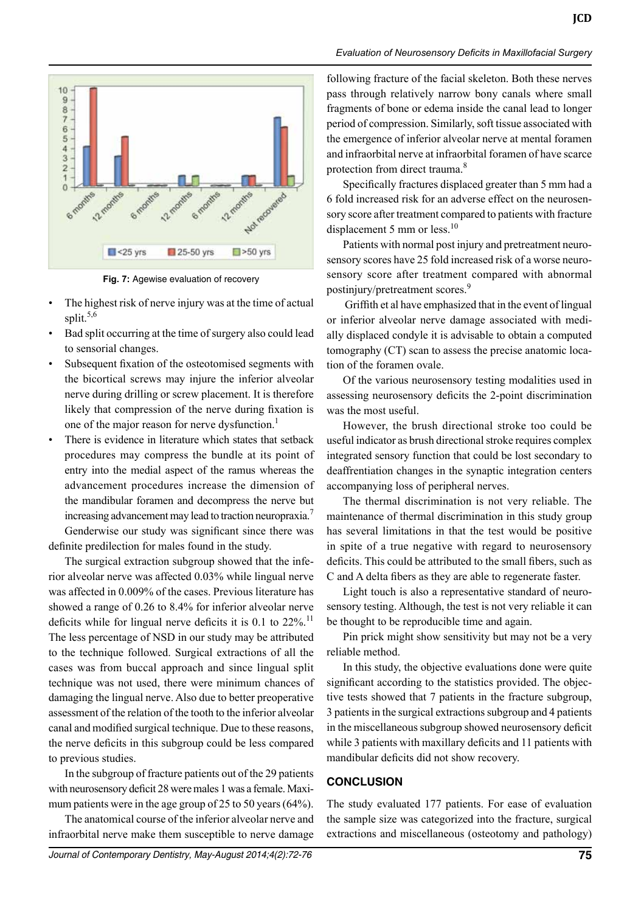

**Fig. 7:** Agewise evaluation of recovery

- The highest risk of nerve injury was at the time of actual split.<sup>5,6</sup>
- Bad split occurring at the time of surgery also could lead to sensorial changes.
- Subsequent fixation of the osteotomised segments with the bicortical screws may injure the inferior alveolar nerve during drilling or screw placement. It is therefore likely that compression of the nerve during fixation is one of the major reason for nerve dysfunction.<sup>1</sup>
- There is evidence in literature which states that setback procedures may compress the bundle at its point of entry into the medial aspect of the ramus whereas the advancement procedures increase the dimension of the mandibular foramen and decompress the nerve but increasing advancement may lead to traction neuropraxia.7 Genderwise our study was significant since there was definite predilection for males found in the study.

The surgical extraction subgroup showed that the inferior alveolar nerve was affected 0.03% while lingual nerve was affected in 0.009% of the cases. Previous literature has showed a range of 0.26 to 8.4% for inferior alveolar nerve deficits while for lingual nerve deficits it is  $0.1$  to  $22\%$ .<sup>11</sup> The less percentage of NSD in our study may be attributed to the technique followed. Surgical extractions of all the cases was from buccal approach and since lingual split technique was not used, there were minimum chances of damaging the lingual nerve. Also due to better preoperative assessment of the relation of the tooth to the inferior alveolar canal and modified surgical technique. Due to these reasons, the nerve deficits in this subgroup could be less compared to previous studies.

In the subgroup of fracture patients out of the 29 patients with neurosensory deficit 28 were males 1 was a female. Maximum patients were in the age group of 25 to 50 years (64%).

The anatomical course of the inferior alveolar nerve and infraorbital nerve make them susceptible to nerve damage

following fracture of the facial skeleton. Both these nerves pass through relatively narrow bony canals where small fragments of bone or edema inside the canal lead to longer period of compression. Similarly, soft tissue associated with the emergence of inferior alveolar nerve at mental foramen and infraorbital nerve at infraorbital foramen of have scarce protection from direct trauma.<sup>8</sup>

Specifically fractures displaced greater than 5 mm had a 6 fold increased risk for an adverse effect on the neurosensory score after treatment compared to patients with fracture displacement 5 mm or less. $10$ 

Patients with normal post injury and pretreatment neurosensory scores have 25 fold increased risk of a worse neurosensory score after treatment compared with abnormal postinjury/pretreatment scores.<sup>9</sup>

 Griffith et al have emphasized that in the event of lingual or inferior alveolar nerve damage associated with medially displaced condyle it is advisable to obtain a computed tomography (CT) scan to assess the precise anatomic location of the foramen ovale.

Of the various neurosensory testing modalities used in assessing neurosensory deficits the 2-point discrimination was the most useful.

However, the brush directional stroke too could be useful indicator as brush directional stroke requires complex integrated sensory function that could be lost secondary to deaffrentiation changes in the synaptic integration centers accompanying loss of peripheral nerves.

The thermal discrimination is not very reliable. The maintenance of thermal discrimination in this study group has several limitations in that the test would be positive in spite of a true negative with regard to neurosensory deficits. This could be attributed to the small fibers, such as C and A delta fibers as they are able to regenerate faster.

Light touch is also a representative standard of neurosensory testing. Although, the test is not very reliable it can be thought to be reproducible time and again.

Pin prick might show sensitivity but may not be a very reliable method.

In this study, the objective evaluations done were quite significant according to the statistics provided. The objective tests showed that 7 patients in the fracture subgroup, 3 patients in the surgical extractions subgroup and 4 patients in the miscellaneous subgroup showed neurosensory deficit while 3 patients with maxillary deficits and 11 patients with mandibular deficits did not show recovery.

#### **CONCLUSION**

The study evaluated 177 patients. For ease of evaluation the sample size was categorized into the fracture, surgical extractions and miscellaneous (osteotomy and pathology)